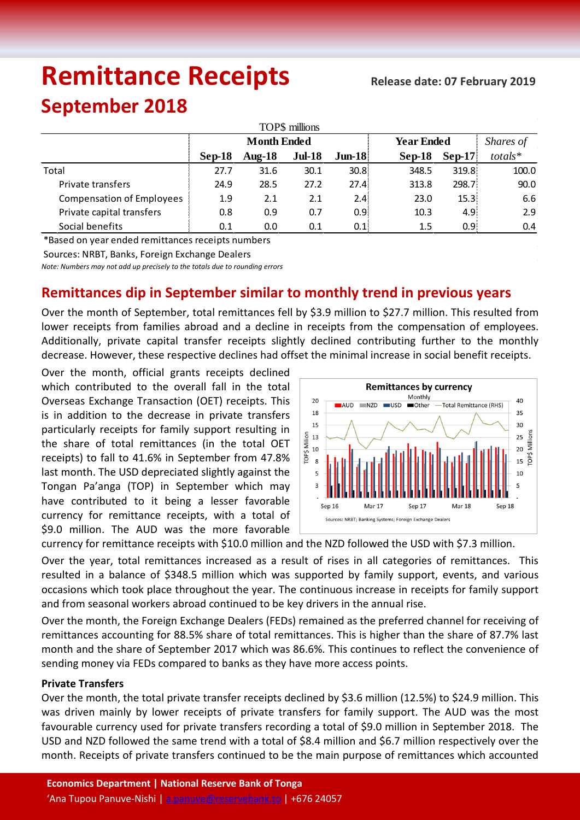# **Remittance Receipts**

## **September 2018**

| TOP\$ millions                   |                    |           |               |                   |                   |                  |               |  |  |  |  |
|----------------------------------|--------------------|-----------|---------------|-------------------|-------------------|------------------|---------------|--|--|--|--|
|                                  | <b>Month Ended</b> |           |               |                   | <b>Year Ended</b> | Shares of        |               |  |  |  |  |
|                                  | Sep-18             | Aug- $18$ | <b>Jul-18</b> | $J$ un-18         | $Sep-18$          | $Sep-17$         | $totals*$     |  |  |  |  |
| Total                            | 27.7               | 31.6      | 30.1          | 30.8 <sup>1</sup> | 348.5             | 319.8            | 100.0         |  |  |  |  |
| Private transfers                | 24.9               | 28.5      | 27.2          | 27.4:             | 313.8             | 298.7            | 90.0          |  |  |  |  |
| <b>Compensation of Employees</b> | 1.9                | 2.1       | 2.1           | 2.4:              | 23.0              | 15.3             | 6.6           |  |  |  |  |
| Private capital transfers        | 0.8                | 0.9       | 0.7           | 0.9 <sub>i</sub>  | 10.3              | 4.9 <sub>1</sub> | 2.9           |  |  |  |  |
| Social benefits                  | 0.1                | 0.0       | 0.1           | 0.1               | 1.5               | 0.95             | $0.4^{\circ}$ |  |  |  |  |

\*Based on year ended remittances receipts numbers

Sources: NRBT, Banks, Foreign Exchange Dealers

*Note: Numbers may not add up precisely to the totals due to rounding errors*

### **Remittances dip in September similar to monthly trend in previous years**

Over the month of September, total remittances fell by \$3.9 million to \$27.7 million. This resulted from lower receipts from families abroad and a decline in receipts from the compensation of employees. Additionally, private capital transfer receipts slightly declined contributing further to the monthly decrease. However, these respective declines had offset the minimal increase in social benefit receipts.

Over the month, official grants receipts declined which contributed to the overall fall in the total Overseas Exchange Transaction (OET) receipts. This is in addition to the decrease in private transfers particularly receipts for family support resulting in the share of total remittances (in the total OET receipts) to fall to 41.6% in September from 47.8% last month. The USD depreciated slightly against the Tongan Pa'anga (TOP) in September which may have contributed to it being a lesser favorable currency for remittance receipts, with a total of \$9.0 million. The AUD was the more favorable



currency for remittance receipts with \$10.0 million and the NZD followed the USD with \$7.3 million.

Over the year, total remittances increased as a result of rises in all categories of remittances. This resulted in a balance of \$348.5 million which was supported by family support, events, and various occasions which took place throughout the year. The continuous increase in receipts for family support and from seasonal workers abroad continued to be key drivers in the annual rise.

Over the month, the Foreign Exchange Dealers (FEDs) remained as the preferred channel for receiving of remittances accounting for 88.5% share of total remittances. This is higher than the share of 87.7% last month and the share of September 2017 which was 86.6%. This continues to reflect the convenience of sending money via FEDs compared to banks as they have more access points.

#### **Private Transfers**

Over the month, the total private transfer receipts declined by \$3.6 million (12.5%) to \$24.9 million. This was driven mainly by lower receipts of private transfers for family support. The AUD was the most favourable currency used for private transfers recording a total of \$9.0 million in September 2018. The USD and NZD followed the same trend with a total of \$8.4 million and \$6.7 million respectively over the month. Receipts of private transfers continued to be the main purpose of remittances which accounted